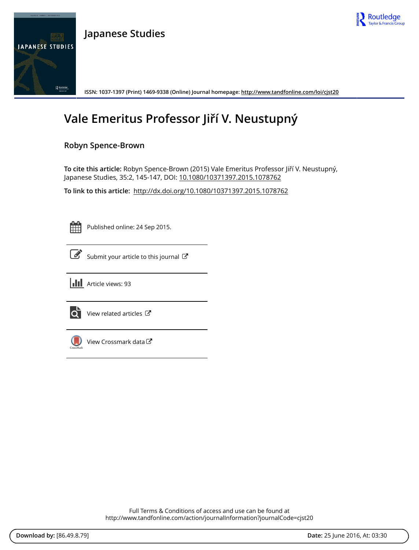

## **Japanese Studies**



**ISSN: 1037-1397 (Print) 1469-9338 (Online) Journal homepage:<http://www.tandfonline.com/loi/cjst20>**

# **Vale Emeritus Professor Jiří V. Neustupný**

#### **Robyn Spence-Brown**

**To cite this article:** Robyn Spence-Brown (2015) Vale Emeritus Professor Jiří V. Neustupný, Japanese Studies, 35:2, 145-147, DOI: [10.1080/10371397.2015.1078762](http://www.tandfonline.com/action/showCitFormats?doi=10.1080/10371397.2015.1078762)

**To link to this article:** <http://dx.doi.org/10.1080/10371397.2015.1078762>

Published online: 24 Sep 2015.



 $\overrightarrow{S}$  [Submit your article to this journal](http://www.tandfonline.com/action/authorSubmission?journalCode=cjst20&page=instructions)  $\overrightarrow{S}$ 



**III** Article views: 93



[View related articles](http://www.tandfonline.com/doi/mlt/10.1080/10371397.2015.1078762) C



[View Crossmark data](http://crossmark.crossref.org/dialog/?doi=10.1080/10371397.2015.1078762&domain=pdf&date_stamp=2015-09-24) $G$ 

Full Terms & Conditions of access and use can be found at <http://www.tandfonline.com/action/journalInformation?journalCode=cjst20>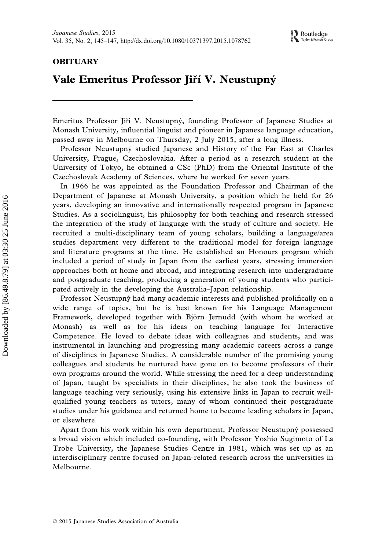#### **OBITUARY**

### Vale Emeritus Professor Jiří V. Neustupný

Emeritus Professor Jiří V. Neustupný, founding Professor of Japanese Studies at Monash University, influential linguist and pioneer in Japanese language education, passed away in Melbourne on Thursday, 2 July 2015, after a long illness.

Professor Neustupný studied Japanese and History of the Far East at Charles University, Prague, Czechoslovakia. After a period as a research student at the University of Tokyo, he obtained a CSc (PhD) from the Oriental Institute of the Czechoslovak Academy of Sciences, where he worked for seven years.

In 1966 he was appointed as the Foundation Professor and Chairman of the Department of Japanese at Monash University, a position which he held for 26 years, developing an innovative and internationally respected program in Japanese Studies. As a sociolinguist, his philosophy for both teaching and research stressed the integration of the study of language with the study of culture and society. He recruited a multi-disciplinary team of young scholars, building a language/area studies department very different to the traditional model for foreign language and literature programs at the time. He established an Honours program which included a period of study in Japan from the earliest years, stressing immersion approaches both at home and abroad, and integrating research into undergraduate and postgraduate teaching, producing a generation of young students who participated actively in the developing the Australia–Japan relationship.

Professor Neustupný had many academic interests and published prolifically on a wide range of topics, but he is best known for his Language Management Framework, developed together with Björn Jernudd (with whom he worked at Monash) as well as for his ideas on teaching language for Interactive Competence. He loved to debate ideas with colleagues and students, and was instrumental in launching and progressing many academic careers across a range of disciplines in Japanese Studies. A considerable number of the promising young colleagues and students he nurtured have gone on to become professors of their own programs around the world. While stressing the need for a deep understanding of Japan, taught by specialists in their disciplines, he also took the business of language teaching very seriously, using his extensive links in Japan to recruit wellqualified young teachers as tutors, many of whom continued their postgraduate studies under his guidance and returned home to become leading scholars in Japan, or elsewhere.

Apart from his work within his own department, Professor Neustupný possessed a broad vision which included co-founding, with Professor Yoshio Sugimoto of La Trobe University, the Japanese Studies Centre in 1981, which was set up as an interdisciplinary centre focused on Japan-related research across the universities in Melbourne.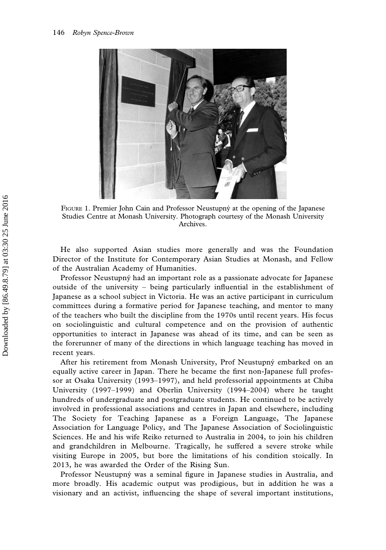

FIGURE 1. Premier John Cain and Professor Neustupný at the opening of the Japanese Studies Centre at Monash University. Photograph courtesy of the Monash University Archives.

He also supported Asian studies more generally and was the Foundation Director of the Institute for Contemporary Asian Studies at Monash, and Fellow of the Australian Academy of Humanities.

Professor Neustupný had an important role as a passionate advocate for Japanese outside of the university – being particularly influential in the establishment of Japanese as a school subject in Victoria. He was an active participant in curriculum committees during a formative period for Japanese teaching, and mentor to many of the teachers who built the discipline from the 1970s until recent years. His focus on sociolinguistic and cultural competence and on the provision of authentic opportunities to interact in Japanese was ahead of its time, and can be seen as the forerunner of many of the directions in which language teaching has moved in recent years.

After his retirement from Monash University, Prof Neustupný embarked on an equally active career in Japan. There he became the first non-Japanese full professor at Osaka University (1993–1997), and held professorial appointments at Chiba University (1997–1999) and Oberlin University (1994–2004) where he taught hundreds of undergraduate and postgraduate students. He continued to be actively involved in professional associations and centres in Japan and elsewhere, including The Society for Teaching Japanese as a Foreign Language, The Japanese Association for Language Policy, and The Japanese Association of Sociolinguistic Sciences. He and his wife Reiko returned to Australia in 2004, to join his children and grandchildren in Melbourne. Tragically, he suffered a severe stroke while visiting Europe in 2005, but bore the limitations of his condition stoically. In 2013, he was awarded the Order of the Rising Sun.

Professor Neustupný was a seminal figure in Japanese studies in Australia, and more broadly. His academic output was prodigious, but in addition he was a visionary and an activist, influencing the shape of several important institutions,